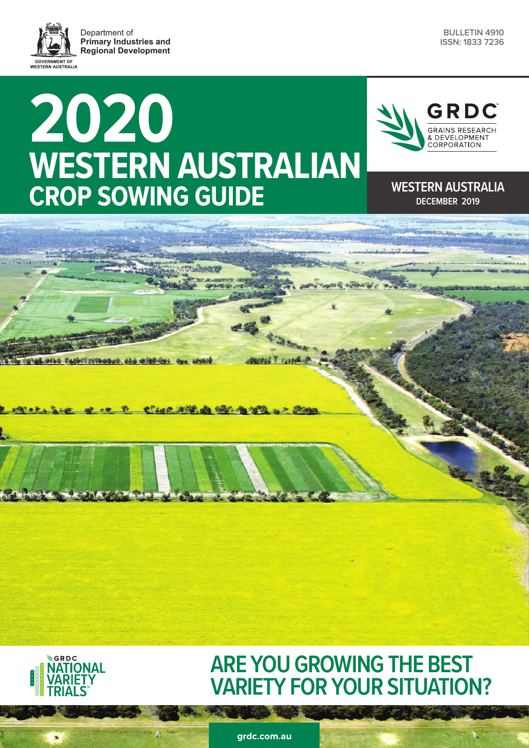Department of **Primary Industries and Regional DevelopmentGOVERNMENT OF**<br>WESTERN AUSTRALIA



# **2020 WESTERN AUSTRALIAN CROP SOWING GUIDE** WESTERN AUSTRALIA



## **DECEMBER 2019**

of a P Classificate the family of the

**SCRDC JATIONAL** 

### **ARE YOU GROWING THE BEST VARIETY FOR YOUR SITUATION?**

grdc.com.au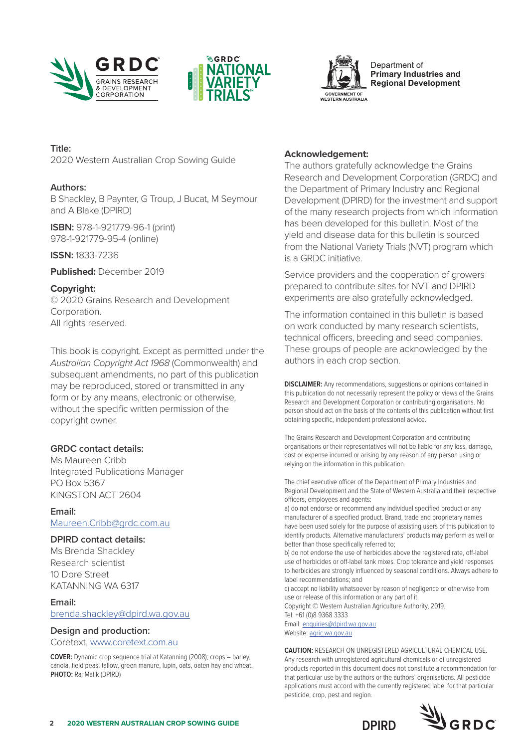





**Primary Industries and Regional Development**

**Title:** 

2020 Western Australian Crop Sowing Guide

#### **Authors:**

B Shackley, B Paynter, G Troup, J Bucat, M Seymour and A Blake (DPIRD)

**ISBN:** 978-1-921779-96-1 (print) 978-1-921779-95-4 (online)

**ISSN:** 1833-7236

**Published:** December 2019

#### **Copyright:**

© 2020 Grains Research and Development Corporation. All rights reserved.

This book is copyright. Except as permitted under the *Australian Copyright Act 1968* (Commonwealth) and subsequent amendments, no part of this publication may be reproduced, stored or transmitted in any form or by any means, electronic or otherwise, without the specific written permission of the copyright owner.

#### **GRDC contact details:**

Ms Maureen Cribb Integrated Publications Manager PO Box 5367 KINGSTON ACT 2604

**Email:**  [Maureen.Cribb@grdc.com.au](mailto:Maureen.Cribb@grdc.com.au)

#### **DPIRD contact details:**

Ms Brenda Shackley Research scientist 10 Dore Street KATANNING WA 6317

#### **Email:**

[brenda.shackley@dpird.wa.gov.au](mailto:brenda.shackley@dpird.wa.gov.au)

#### **Design and production:**

Coretext, [www.coretext.com.au](http://www.coretext.com.au)

**COVER:** Dynamic crop sequence trial at Katanning (2008); crops – barley, canola, field peas, fallow, green manure, lupin, oats, oaten hay and wheat. **PHOTO:** Raj Malik (DPIRD)

#### **Acknowledgement:**

The authors gratefully acknowledge the Grains Research and Development Corporation (GRDC) and the Department of Primary Industry and Regional Development (DPIRD) for the investment and support of the many research projects from which information has been developed for this bulletin. Most of the yield and disease data for this bulletin is sourced from the National Variety Trials (NVT) program which is a GRDC initiative.

Service providers and the cooperation of growers prepared to contribute sites for NVT and DPIRD experiments are also gratefully acknowledged.

The information contained in this bulletin is based on work conducted by many research scientists, technical officers, breeding and seed companies. These groups of people are acknowledged by the authors in each crop section.

**DISCLAIMER:** Any recommendations, suggestions or opinions contained in this publication do not necessarily represent the policy or views of the Grains Research and Development Corporation or contributing organisations. No person should act on the basis of the contents of this publication without first obtaining specific, independent professional advice.

The Grains Research and Development Corporation and contributing organisations or their representatives will not be liable for any loss, damage, cost or expense incurred or arising by any reason of any person using or relying on the information in this publication.

The chief executive officer of the Department of Primary Industries and Regional Development and the State of Western Australia and their respective officers, employees and agents:

a) do not endorse or recommend any individual specified product or any manufacturer of a specified product. Brand, trade and proprietary names have been used solely for the purpose of assisting users of this publication to identify products. Alternative manufacturers' products may perform as well or better than those specifically referred to;

b) do not endorse the use of herbicides above the registered rate, off-label use of herbicides or off-label tank mixes. Crop tolerance and yield responses to herbicides are strongly influenced by seasonal conditions. Always adhere to label recommendations; and

c) accept no liability whatsoever by reason of negligence or otherwise from use or release of this information or any part of it. Copyright © Western Australian Agriculture Authority, 2019. Tel: +61 (0)8 9368 3333 Email: [enquiries@dpird.wa.gov.au](mailto:enquiries%40dpird.wa.gov.au?subject=) Website: [agric.wa.gov.au](http://agric.wa.gov.au)

**CAUTION:** RESEARCH ON UNREGISTERED AGRICULTURAL CHEMICAL USE. Any research with unregistered agricultural chemicals or of unregistered products reported in this document does not constitute a recommendation for that particular use by the authors or the authors' organisations. All pesticide applications must accord with the currently registered label for that particular pesticide, crop, pest and region.

**DPIRD**

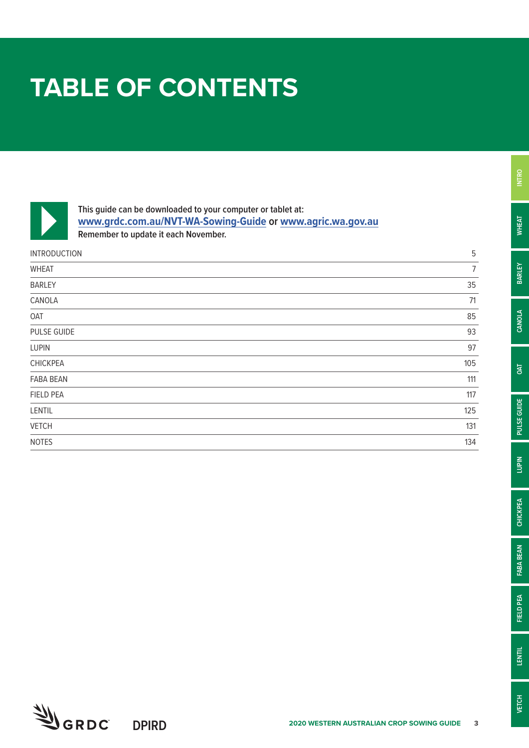# **TABLE OF CONTENTS**



**This guide can be downloaded to your computer or tablet at: [www.grdc.com.au/NVT-WA-Sowing-Guide](http://www.grdc.com.au/NVT-WA-Sowing-Guide) or [www.agric.wa.gov.au](http://www.agric.wa.gov.au) Remember to update it each November.**

| <b>INTRODUCTION</b> | 5              |
|---------------------|----------------|
| <b>WHEAT</b>        | $\overline{1}$ |
| <b>BARLEY</b>       | 35             |
| CANOLA              | 71             |
| OAT                 | 85             |
| PULSE GUIDE         | 93             |
| <b>LUPIN</b>        | 97             |
| <b>CHICKPEA</b>     | 105            |
| <b>FABA BEAN</b>    | 111            |
| <b>FIELD PEA</b>    | 117            |
| LENTIL              | 125            |
| <b>VETCH</b>        | 131            |
| <b>NOTES</b>        | 134            |



**INTRO**

**WHEAT**

**BARLEY**

**CANOLA**

**OAT**

**PULSE GUIDE**

PULSE GUIDE

**LUPIN**

**CHICKPEA**

**CHICKPEA** 

**FABA BEAN**

FABA BEAN

**FIELD PEA**

**FIELD PEA** 

**LENTIL**

**VETCH**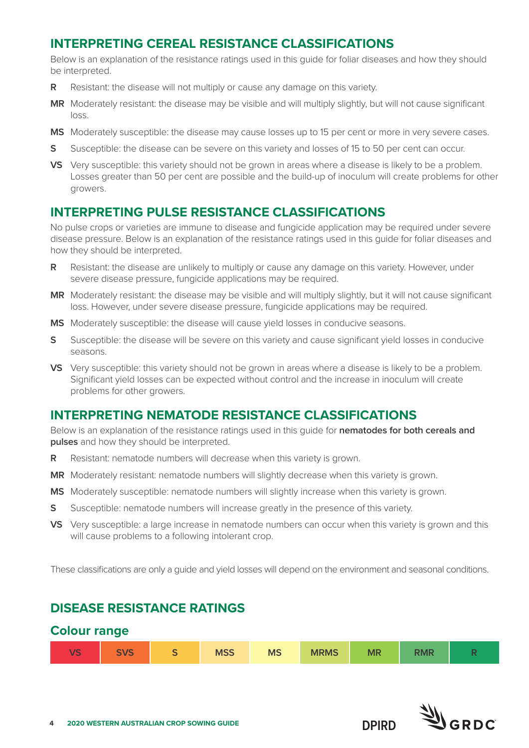#### **INTERPRETING CEREAL RESISTANCE CLASSIFICATIONS**

Below is an explanation of the resistance ratings used in this guide for foliar diseases and how they should be interpreted.

- **R** Resistant: the disease will not multiply or cause any damage on this variety.
- **MR** Moderately resistant: the disease may be visible and will multiply slightly, but will not cause significant loss.
- **MS** Moderately susceptible: the disease may cause losses up to 15 per cent or more in very severe cases.
- **S** Susceptible: the disease can be severe on this variety and losses of 15 to 50 per cent can occur.
- **VS** Very susceptible: this variety should not be grown in areas where a disease is likely to be a problem. Losses greater than 50 per cent are possible and the build-up of inoculum will create problems for other growers.

#### **INTERPRETING PULSE RESISTANCE CLASSIFICATIONS**

No pulse crops or varieties are immune to disease and fungicide application may be required under severe disease pressure. Below is an explanation of the resistance ratings used in this guide for foliar diseases and how they should be interpreted.

- **R** Resistant: the disease are unlikely to multiply or cause any damage on this variety. However, under severe disease pressure, fungicide applications may be required.
- **MR** Moderately resistant: the disease may be visible and will multiply slightly, but it will not cause significant loss. However, under severe disease pressure, fungicide applications may be required.
- **MS** Moderately susceptible: the disease will cause yield losses in conducive seasons.
- **S** Susceptible: the disease will be severe on this variety and cause significant yield losses in conducive seasons.
- **VS** Very susceptible: this variety should not be grown in areas where a disease is likely to be a problem. Significant yield losses can be expected without control and the increase in inoculum will create problems for other growers.

#### **INTERPRETING NEMATODE RESISTANCE CLASSIFICATIONS**

Below is an explanation of the resistance ratings used in this guide for **nematodes for both cereals and pulses** and how they should be interpreted.

- **R** Resistant: nematode numbers will decrease when this variety is grown.
- **MR** Moderately resistant: nematode numbers will slightly decrease when this variety is grown.
- **MS** Moderately susceptible: nematode numbers will slightly increase when this variety is grown.
- **S** Susceptible: nematode numbers will increase greatly in the presence of this variety.
- **VS** Very susceptible: a large increase in nematode numbers can occur when this variety is grown and this will cause problems to a following intolerant crop.

These classifications are only a guide and yield losses will depend on the environment and seasonal conditions.

#### **DISEASE RESISTANCE RATINGS**

#### **Colour range**

| $\sqrt{2}$<br>$\overline{\phantom{a}}$ | $\sqrt{2}$<br>$\overline{\phantom{0}}$<br><b>SVS</b> | $\overline{\phantom{a}}$<br>$\overline{\phantom{0}}$ | <b>MSS</b> | <b>MS</b> | <b>MRMS</b> | <b>MR</b> | <b>DAIR</b><br>NMK |  |
|----------------------------------------|------------------------------------------------------|------------------------------------------------------|------------|-----------|-------------|-----------|--------------------|--|
|----------------------------------------|------------------------------------------------------|------------------------------------------------------|------------|-----------|-------------|-----------|--------------------|--|

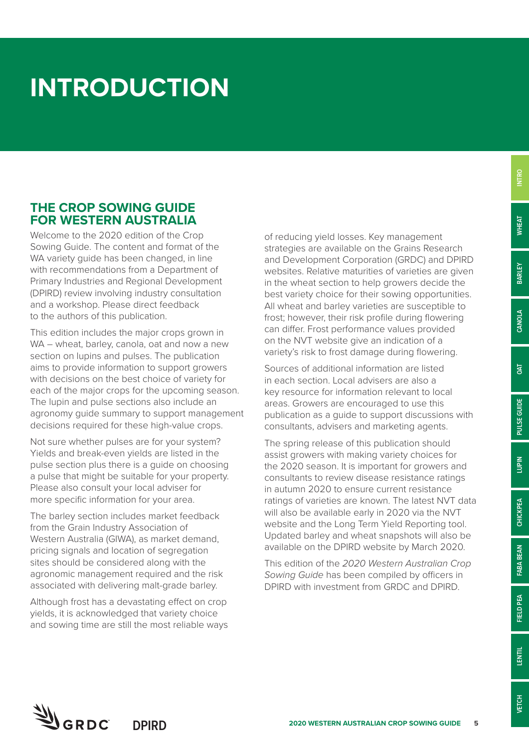# **INTRODUCTION**

#### **THE CROP SOWING GUIDE FOR WESTERN AUSTRALIA**

Welcome to the 2020 edition of the Crop Sowing Guide. The content and format of the WA variety quide has been changed, in line with recommendations from a Department of Primary Industries and Regional Development (DPIRD) review involving industry consultation and a workshop. Please direct feedback to the authors of this publication.

This edition includes the major crops grown in WA – wheat, barley, canola, oat and now a new section on lupins and pulses. The publication aims to provide information to support growers with decisions on the best choice of variety for each of the major crops for the upcoming season. The lupin and pulse sections also include an agronomy guide summary to support management decisions required for these high-value crops.

Not sure whether pulses are for your system? Yields and break-even yields are listed in the pulse section plus there is a guide on choosing a pulse that might be suitable for your property. Please also consult your local adviser for more specific information for your area.

The barley section includes market feedback from the Grain Industry Association of Western Australia (GIWA), as market demand, pricing signals and location of segregation sites should be considered along with the agronomic management required and the risk associated with delivering malt-grade barley.

Although frost has a devastating effect on crop yields, it is acknowledged that variety choice and sowing time are still the most reliable ways of reducing yield losses. Key management strategies are available on the Grains Research and Development Corporation (GRDC) and DPIRD websites. Relative maturities of varieties are given in the wheat section to help growers decide the best variety choice for their sowing opportunities. All wheat and barley varieties are susceptible to frost; however, their risk profile during flowering can differ. Frost performance values provided on the NVT website give an indication of a variety's risk to frost damage during flowering.

Sources of additional information are listed in each section. Local advisers are also a key resource for information relevant to local areas. Growers are encouraged to use this publication as a guide to support discussions with consultants, advisers and marketing agents.

The spring release of this publication should assist growers with making variety choices for the 2020 season. It is important for growers and consultants to review disease resistance ratings in autumn 2020 to ensure current resistance ratings of varieties are known. The latest NVT data will also be available early in 2020 via the NVT website and the Long Term Yield Reporting tool. Updated barley and wheat snapshots will also be available on the DPIRD website by March 2020.

This edition of the *2020 Western Australian Crop Sowing Guide* has been compiled by officers in DPIRD with investment from GRDC and DPIRD.

**CHICKPEA**

CHICKPEA

**VETCH**